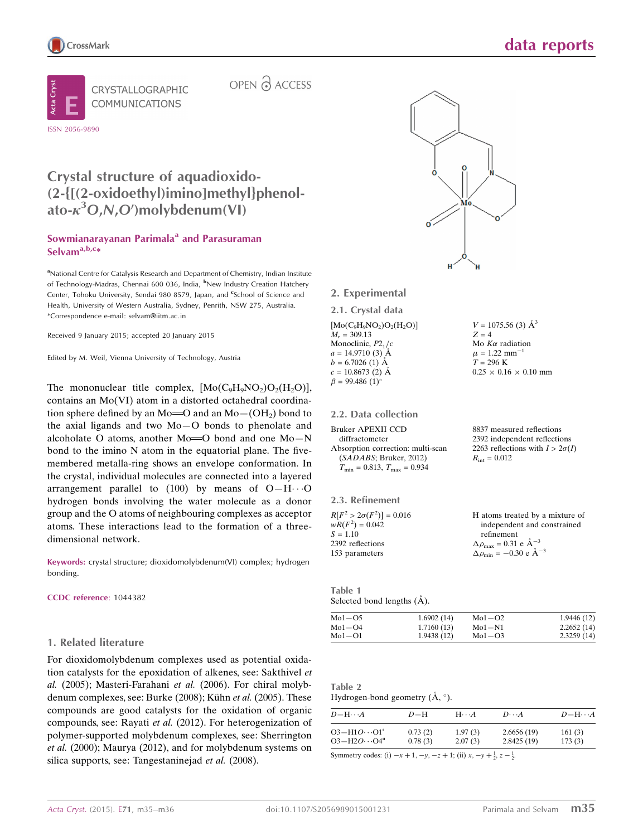



OPEN & ACCESS

## Crystal structure of aquadioxido- (2-{[(2-oxidoethyl)imino]methyl}phenolato- $\kappa^3$ O,N,O')molybdenum(VI)

### Sowmianarayanan Parimala<sup>a</sup> and Parasuraman Selvam<sup>a,b,c</sup>\*

<sup>a</sup>National Centre for Catalysis Research and Department of Chemistry, Indian Institute of Technology-Madras, Chennai 600 036, India, <sup>b</sup>New Industry Creation Hatchery Center, Tohoku University, Sendai 980 8579, Japan, and <sup>e</sup>School of Science and Health, University of Western Australia, Sydney, Penrith, NSW 275, Australia. \*Correspondence e-mail: selvam@iitm.ac.in

Received 9 January 2015; accepted 20 January 2015

Edited by M. Weil, Vienna University of Technology, Austria

The mononuclear title complex,  $[Mo(C<sub>9</sub>H<sub>9</sub>NO<sub>2</sub>)O<sub>2</sub>(H<sub>2</sub>O)],$ contains an Mo(VI) atom in a distorted octahedral coordination sphere defined by an Mo= $O$  and an Mo $-(OH<sub>2</sub>)$  bond to the axial ligands and two Mo—O bonds to phenolate and alcoholate O atoms, another  $Mo = O$  bond and one  $Mo - N$ bond to the imino N atom in the equatorial plane. The fivemembered metalla-ring shows an envelope conformation. In the crystal, individual molecules are connected into a layered arrangement parallel to  $(100)$  by means of O-H $\cdots$ O hydrogen bonds involving the water molecule as a donor group and the O atoms of neighbouring complexes as acceptor atoms. These interactions lead to the formation of a threedimensional network.

Keywords: crystal structure; dioxidomolybdenum(VI) complex; hydrogen bonding.

#### CCDC reference: 1044382

#### 1. Related literature

For dioxidomolybdenum complexes used as potential oxidation catalysts for the epoxidation of alkenes, see: Sakthivel et al. (2005); Masteri-Farahani et al. (2006). For chiral molybdenum complexes, see: Burke (2008); Kühn et al. (2005). These compounds are good catalysts for the oxidation of organic compounds, see: Rayati et al. (2012). For heterogenization of polymer-supported molybdenum complexes, see: Sherrington et al. (2000); Maurya (2012), and for molybdenum systems on silica supports, see: Tangestaninejad *et al.* (2008).



 $V = 1075.56$  (3)  $\AA^3$ 

Mo  $K\alpha$  radiation  $\mu = 1.22$  mm<sup>-1</sup>  $T = 296 \text{ K}$ 

 $0.25 \times 0.16 \times 0.10$  mm

8837 measured reflections 2392 independent reflections 2263 reflections with  $I > 2\sigma(I)$ 

 $R_{\text{int}} = 0.012$ 

 $Z = 4$ 

2. Experimental

2.1. Crystal data  $[Mo(C<sub>9</sub>H<sub>9</sub>NO<sub>2</sub>)O<sub>2</sub>(H<sub>2</sub>O)]$ 

 $M_r = 309.13$ Monoclinic,  $P2<sub>1</sub>/c$  $a = 14.9710(3)$  Å  $b = 6.7026$  (1) A  $c = 10.8673(2)$  Å  $\beta = 99.486$  (1)<sup>o</sup>

#### 2.2. Data collection

| 2.3. Refinement                 |                                                  |
|---------------------------------|--------------------------------------------------|
| $R[F^2 > 2\sigma(F^2)] = 0.016$ | H atoms treated by a mixture of                  |
| $wR(F^2) = 0.042$               | independent and constrained                      |
| $S = 1.10$                      | refinement                                       |
| 2392 reflections                | $\Delta \rho_{\text{max}} = 0.31$ e $\AA^{-3}$   |
| 153 parameters                  | $\Delta \rho_{\rm min} = -0.30 \text{ e A}^{-3}$ |

Table 1 Selected bond lengths (Å).

| Mo1-O5 | 1.6902(14) | $Mo1-O2$ | 1.9446 (12) |
|--------|------------|----------|-------------|
| Mo1-O4 | 1.7160(13) | $Mo1-N1$ | 2.2652(14)  |
| Mo1-O1 | 1.9438(12) | $Mo1-O3$ | 2.3259(14)  |

| Table. |  |
|--------|--|
|        |  |

| Hydrogen-bond geometry $(A, \circ)$ . |  |  |
|---------------------------------------|--|--|

| 161(3)<br>173(3) |
|------------------|
|                  |

Symmetry codes: (i)  $-x + 1$ ,  $-y$ ,  $-z + 1$ ; (ii)  $x$ ,  $-y + \frac{1}{2}$ ,  $z - \frac{1}{2}$ .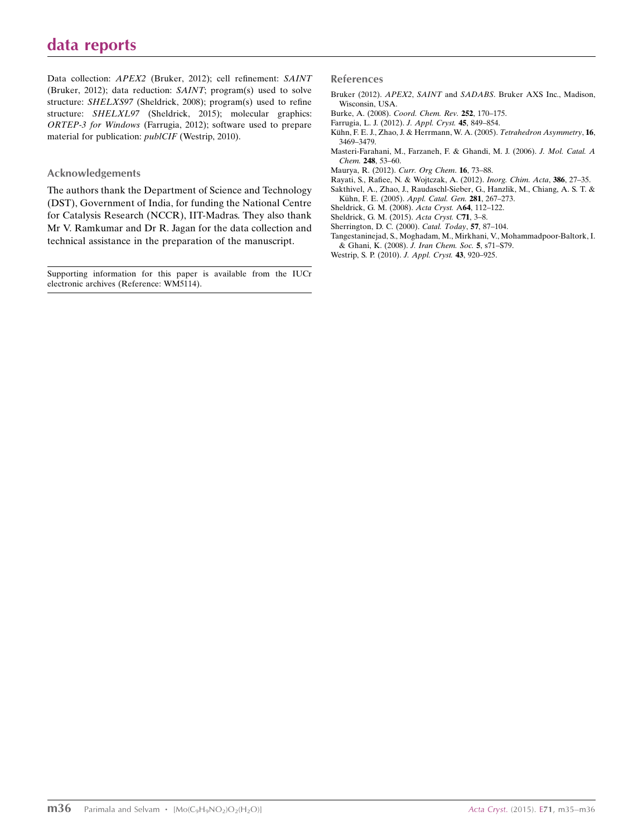Data collection: APEX2 (Bruker, 2012); cell refinement: SAINT (Bruker, 2012); data reduction: SAINT; program(s) used to solve structure: SHELXS97 (Sheldrick, 2008); program(s) used to refine structure: SHELXL97 (Sheldrick, 2015); molecular graphics: ORTEP-3 for Windows (Farrugia, 2012); software used to prepare material for publication: publCIF (Westrip, 2010).

#### Acknowledgements

The authors thank the Department of Science and Technology (DST), Government of India, for funding the National Centre for Catalysis Research (NCCR), IIT-Madras. They also thank Mr V. Ramkumar and Dr R. Jagan for the data collection and technical assistance in the preparation of the manuscript.

Supporting information for this paper is available from the IUCr electronic archives (Reference: WM5114).

#### References

- Bruker (2012). APEX2, SAINT and SADABS[. Bruker AXS Inc., Madison,](http://scripts.iucr.org/cgi-bin/cr.cgi?rm=pdfbb&cnor=wm5114&bbid=BB1) [Wisconsin, USA.](http://scripts.iucr.org/cgi-bin/cr.cgi?rm=pdfbb&cnor=wm5114&bbid=BB1)
- Burke, A. (2008). [Coord. Chem. Rev.](http://scripts.iucr.org/cgi-bin/cr.cgi?rm=pdfbb&cnor=wm5114&bbid=BB2) 252, 170–175.
- [Farrugia, L. J. \(2012\).](http://scripts.iucr.org/cgi-bin/cr.cgi?rm=pdfbb&cnor=wm5114&bbid=BB3) J. Appl. Cryst. 45, 849–854.
- Kühn, F. E. J., Zhao, J. & Herrmann, W. A. (2005). Tetrahedron Asymmetry, 16, [3469–3479.](http://scripts.iucr.org/cgi-bin/cr.cgi?rm=pdfbb&cnor=wm5114&bbid=BB4)
- [Masteri-Farahani, M., Farzaneh, F. & Ghandi, M. J. \(2006\).](http://scripts.iucr.org/cgi-bin/cr.cgi?rm=pdfbb&cnor=wm5114&bbid=BB5) J. Mol. Catal. A Chem. 248[, 53–60.](http://scripts.iucr.org/cgi-bin/cr.cgi?rm=pdfbb&cnor=wm5114&bbid=BB5)
- [Maurya, R. \(2012\).](http://scripts.iucr.org/cgi-bin/cr.cgi?rm=pdfbb&cnor=wm5114&bbid=BB6) Curr. Org Chem. 16, 73–88.
- [Rayati, S., Rafiee, N. & Wojtczak, A. \(2012\).](http://scripts.iucr.org/cgi-bin/cr.cgi?rm=pdfbb&cnor=wm5114&bbid=BB7) Inorg. Chim. Acta, 386, 27–35. [Sakthivel, A., Zhao, J., Raudaschl-Sieber, G., Hanzlik, M., Chiang, A. S. T. &](http://scripts.iucr.org/cgi-bin/cr.cgi?rm=pdfbb&cnor=wm5114&bbid=BB8)
- Kühn, F. E. (2005). Appl. Catal. Gen. 281, 267-273.
- [Sheldrick, G. M. \(2008\).](http://scripts.iucr.org/cgi-bin/cr.cgi?rm=pdfbb&cnor=wm5114&bbid=BB9) Acta Cryst. A64, 112–122.
- [Sheldrick, G. M. \(2015\).](http://scripts.iucr.org/cgi-bin/cr.cgi?rm=pdfbb&cnor=wm5114&bbid=BB10) Acta Cryst. C71, 3–8.
- [Sherrington, D. C. \(2000\).](http://scripts.iucr.org/cgi-bin/cr.cgi?rm=pdfbb&cnor=wm5114&bbid=BB11) Catal. Today, 57, 87–104. [Tangestaninejad, S., Moghadam, M., Mirkhani, V., Mohammadpoor-Baltork, I.](http://scripts.iucr.org/cgi-bin/cr.cgi?rm=pdfbb&cnor=wm5114&bbid=BB12)

[<sup>&</sup>amp; Ghani, K. \(2008\).](http://scripts.iucr.org/cgi-bin/cr.cgi?rm=pdfbb&cnor=wm5114&bbid=BB12) J. Iran Chem. Soc. 5, s71–S79. [Westrip, S. P. \(2010\).](http://scripts.iucr.org/cgi-bin/cr.cgi?rm=pdfbb&cnor=wm5114&bbid=BB13) J. Appl. Cryst. 43, 920–925.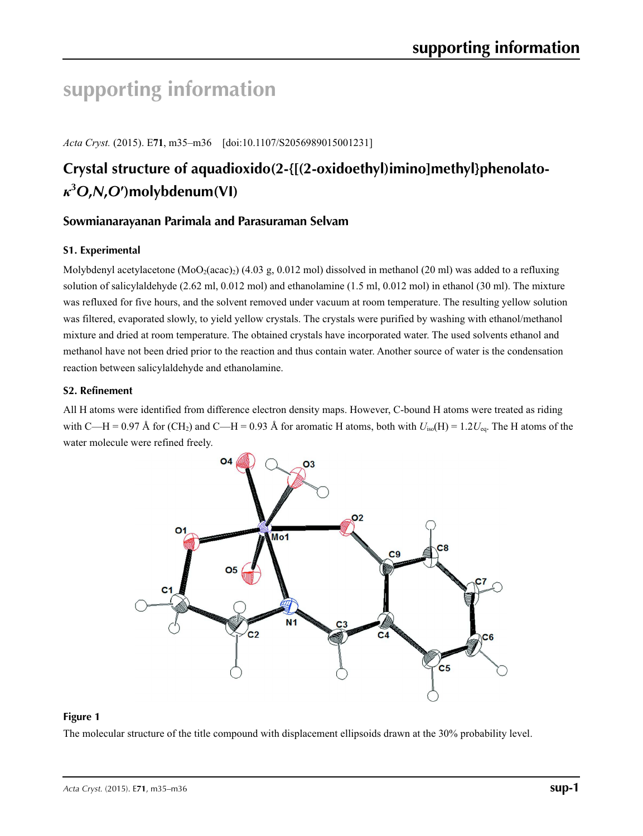# **supporting information**

*Acta Cryst.* (2015). E**71**, m35–m36 [doi:10.1107/S2056989015001231]

## **Crystal structure of aquadioxido(2-{[(2-oxidoethyl)imino]methyl}phenolato***κ***3** *O***,***N***,***O***′)molybdenum(VI)**

## **Sowmianarayanan Parimala and Parasuraman Selvam**

## **S1. Experimental**

Molybdenyl acetylacetone (MoO<sub>2</sub>(acac)<sub>2</sub>) (4.03 g, 0.012 mol) dissolved in methanol (20 ml) was added to a refluxing solution of salicylaldehyde (2.62 ml, 0.012 mol) and ethanolamine (1.5 ml, 0.012 mol) in ethanol (30 ml). The mixture was refluxed for five hours, and the solvent removed under vacuum at room temperature. The resulting yellow solution was filtered, evaporated slowly, to yield yellow crystals. The crystals were purified by washing with ethanol/methanol mixture and dried at room temperature. The obtained crystals have incorporated water. The used solvents ethanol and methanol have not been dried prior to the reaction and thus contain water. Another source of water is the condensation reaction between salicylaldehyde and ethanolamine.

## **S2. Refinement**

All H atoms were identified from difference electron density maps. However, C-bound H atoms were treated as riding with C—H = 0.97 Å for (CH<sub>2</sub>) and C—H = 0.93 Å for aromatic H atoms, both with  $U_{iso}(H) = 1.2U_{eq}$ . The H atoms of the water molecule were refined freely.



## **Figure 1**

The molecular structure of the title compound with displacement ellipsoids drawn at the 30% probability level.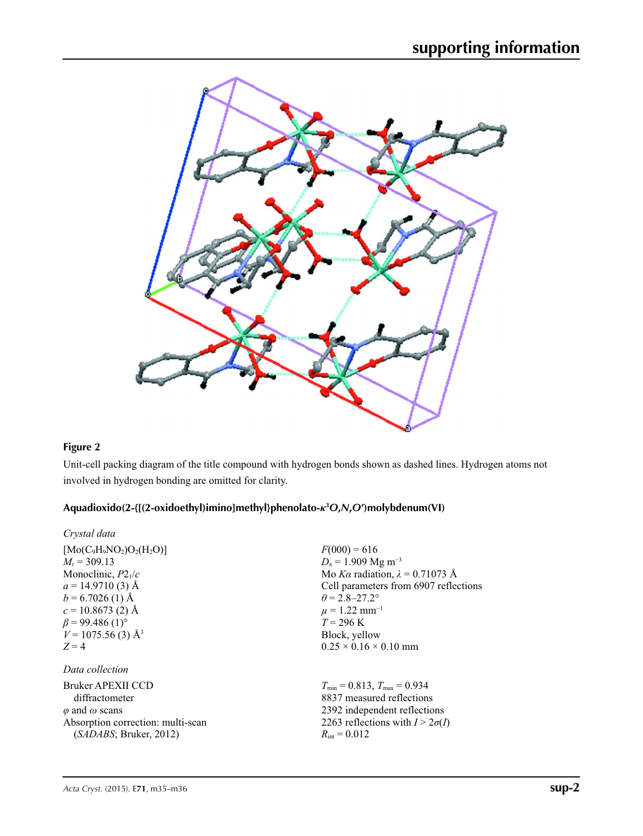

## **Figure 2**

Unit-cell packing diagram of the title compound with hydrogen bonds shown as dashed lines. Hydrogen atoms not involved in hydrogen bonding are omitted for clarity.

## **Aquadioxido(2-{[(2-oxidoethyl)imino]methyl}phenolato-***κ***<sup>3</sup>** *O***,***N***,***O***′)molybdenum(VI)**

| Crystal data                      |                                                     |
|-----------------------------------|-----------------------------------------------------|
| $[Mo(C9H9NO2)O2(H2O)]$            | $F(000) = 616$                                      |
| $M_r = 309.13$                    | $D_x = 1.909$ Mg m <sup>-3</sup>                    |
| Monoclinic, $P2_1/c$              | Mo Ka radiation, $\lambda = 0.71073$ Å              |
| $a = 14.9710(3)$ Å                | Cell parameters from 6907 reflections               |
| $b = 6.7026$ (1) Å                | $\theta = 2.8 - 27.2^{\circ}$                       |
| $c = 10.8673(2)$ Å                | $\mu = 1.22$ mm <sup>-1</sup>                       |
| $\beta$ = 99.486 (1) <sup>o</sup> | $T = 296 \text{ K}$                                 |
| $V = 1075.56(3)$ Å <sup>3</sup>   | Block, yellow                                       |
| $Z=4$                             | $0.25 \times 0.16 \times 0.10$ mm                   |
| Data collection                   |                                                     |
| Bruker APEXII CCD                 | $T_{\text{min}} = 0.813$ , $T_{\text{max}} = 0.934$ |
| diffractometer                    | 8837 measured reflections                           |
| $\varphi$ and $\omega$ scans      | 2392 independent reflections                        |
| Absorption correction: multi-scan | 2263 reflections with $I > 2\sigma(I)$              |
| (SADABS; Bruker, 2012)            | $R_{\rm int} = 0.012$                               |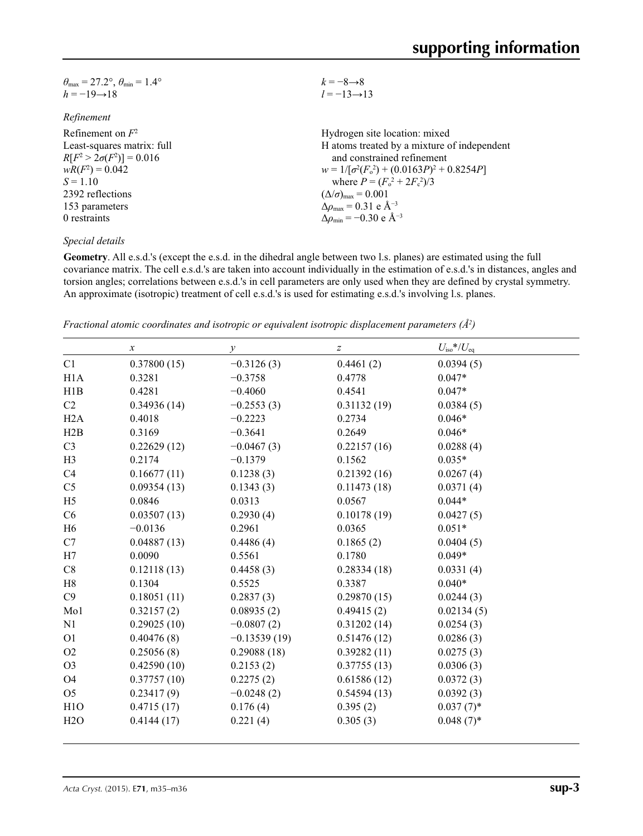| $\theta_{\rm max}$ = 27.2°, $\theta_{\rm min}$ = 1.4° | $k = -8 \rightarrow 8$                                    |
|-------------------------------------------------------|-----------------------------------------------------------|
| $h = -19 \rightarrow 18$                              | $l = -13 \rightarrow 13$                                  |
|                                                       |                                                           |
| Refinement                                            |                                                           |
| Refinement on $F^2$                                   | Hydrogen site location: mixed                             |
| Least-squares matrix: full                            | H atoms treated by a mixture of independent               |
| $R[F^2 > 2\sigma(F^2)] = 0.016$                       | and constrained refinement                                |
| $wR(F^2) = 0.042$                                     | $w = 1/[\sigma^2(F_0^2) + (0.0163P)^2 + 0.8254P]$         |
| $S = 1.10$                                            | where $P = (F_o^2 + 2F_c^2)/3$                            |
| 2392 reflections                                      | $(\Delta/\sigma)_{\text{max}} = 0.001$                    |
| 153 parameters                                        | $\Delta \rho_{\rm max} = 0.31$ e Å <sup>-3</sup>          |
| 0 restraints                                          | $\Delta\rho_{\rm min} = -0.30 \text{ e } \text{\AA}^{-3}$ |
|                                                       |                                                           |

### *Special details*

**Geometry**. All e.s.d.'s (except the e.s.d. in the dihedral angle between two l.s. planes) are estimated using the full covariance matrix. The cell e.s.d.'s are taken into account individually in the estimation of e.s.d.'s in distances, angles and torsion angles; correlations between e.s.d.'s in cell parameters are only used when they are defined by crystal symmetry. An approximate (isotropic) treatment of cell e.s.d.'s is used for estimating e.s.d.'s involving l.s. planes.

*Fractional atomic coordinates and isotropic or equivalent isotropic displacement parameters (Å<sup>2</sup>)* 

|                | $\boldsymbol{\chi}$ | $\mathcal{Y}$  | $\boldsymbol{Z}$ | $U_{\rm iso}$ */ $U_{\rm eq}$ |  |
|----------------|---------------------|----------------|------------------|-------------------------------|--|
| C1             | 0.37800(15)         | $-0.3126(3)$   | 0.4461(2)        | 0.0394(5)                     |  |
| H1A            | 0.3281              | $-0.3758$      | 0.4778           | $0.047*$                      |  |
| H1B            | 0.4281              | $-0.4060$      | 0.4541           | $0.047*$                      |  |
| C2             | 0.34936(14)         | $-0.2553(3)$   | 0.31132(19)      | 0.0384(5)                     |  |
| H2A            | 0.4018              | $-0.2223$      | 0.2734           | $0.046*$                      |  |
| H2B            | 0.3169              | $-0.3641$      | 0.2649           | $0.046*$                      |  |
| C <sub>3</sub> | 0.22629(12)         | $-0.0467(3)$   | 0.22157(16)      | 0.0288(4)                     |  |
| H <sub>3</sub> | 0.2174              | $-0.1379$      | 0.1562           | $0.035*$                      |  |
| C <sub>4</sub> | 0.16677(11)         | 0.1238(3)      | 0.21392(16)      | 0.0267(4)                     |  |
| C <sub>5</sub> | 0.09354(13)         | 0.1343(3)      | 0.11473(18)      | 0.0371(4)                     |  |
| H <sub>5</sub> | 0.0846              | 0.0313         | 0.0567           | $0.044*$                      |  |
| C <sub>6</sub> | 0.03507(13)         | 0.2930(4)      | 0.10178(19)      | 0.0427(5)                     |  |
| H <sub>6</sub> | $-0.0136$           | 0.2961         | 0.0365           | $0.051*$                      |  |
| C7             | 0.04887(13)         | 0.4486(4)      | 0.1865(2)        | 0.0404(5)                     |  |
| H7             | 0.0090              | 0.5561         | 0.1780           | $0.049*$                      |  |
| C8             | 0.12118(13)         | 0.4458(3)      | 0.28334(18)      | 0.0331(4)                     |  |
| H <sub>8</sub> | 0.1304              | 0.5525         | 0.3387           | $0.040*$                      |  |
| C9             | 0.18051(11)         | 0.2837(3)      | 0.29870(15)      | 0.0244(3)                     |  |
| Mo1            | 0.32157(2)          | 0.08935(2)     | 0.49415(2)       | 0.02134(5)                    |  |
| N1             | 0.29025(10)         | $-0.0807(2)$   | 0.31202(14)      | 0.0254(3)                     |  |
| O <sub>1</sub> | 0.40476(8)          | $-0.13539(19)$ | 0.51476(12)      | 0.0286(3)                     |  |
| O2             | 0.25056(8)          | 0.29088(18)    | 0.39282(11)      | 0.0275(3)                     |  |
| O <sub>3</sub> | 0.42590(10)         | 0.2153(2)      | 0.37755(13)      | 0.0306(3)                     |  |
| O4             | 0.37757(10)         | 0.2275(2)      | 0.61586(12)      | 0.0372(3)                     |  |
| O <sub>5</sub> | 0.23417(9)          | $-0.0248(2)$   | 0.54594(13)      | 0.0392(3)                     |  |
| H1O            | 0.4715(17)          | 0.176(4)       | 0.395(2)         | $0.037(7)$ *                  |  |
| H2O            | 0.4144(17)          | 0.221(4)       | 0.305(3)         | $0.048(7)$ *                  |  |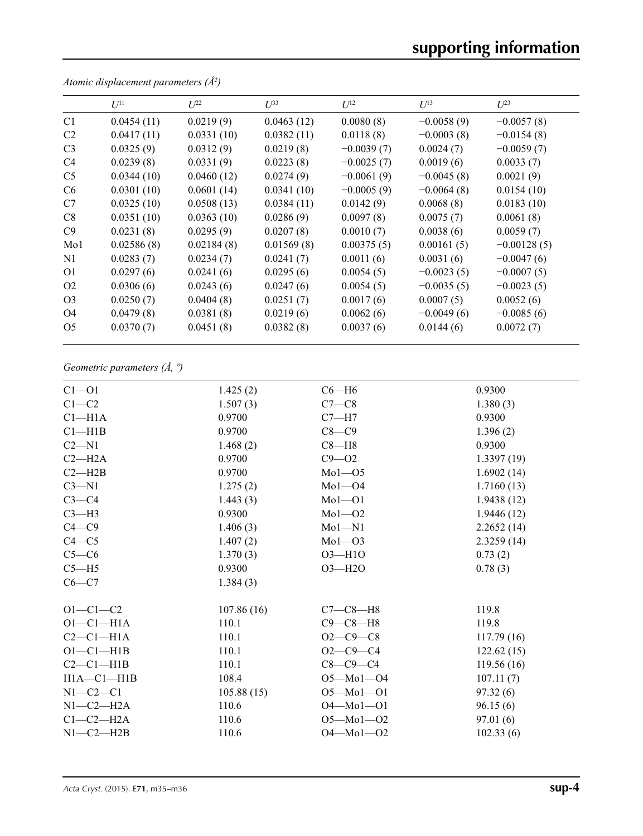# **supporting information**

|                  | $U^{11}$   | $L^{22}$   | $\mathcal{L}^{\beta 3}$ | $U^{12}$     | $U^{13}$     | $L^{23}$      |
|------------------|------------|------------|-------------------------|--------------|--------------|---------------|
| C <sub>1</sub>   | 0.0454(11) | 0.0219(9)  | 0.0463(12)              | 0.0080(8)    | $-0.0058(9)$ | $-0.0057(8)$  |
| C <sub>2</sub>   | 0.0417(11) | 0.0331(10) | 0.0382(11)              | 0.0118(8)    | $-0.0003(8)$ | $-0.0154(8)$  |
| C <sub>3</sub>   | 0.0325(9)  | 0.0312(9)  | 0.0219(8)               | $-0.0039(7)$ | 0.0024(7)    | $-0.0059(7)$  |
| C <sub>4</sub>   | 0.0239(8)  | 0.0331(9)  | 0.0223(8)               | $-0.0025(7)$ | 0.0019(6)    | 0.0033(7)     |
| C <sub>5</sub>   | 0.0344(10) | 0.0460(12) | 0.0274(9)               | $-0.0061(9)$ | $-0.0045(8)$ | 0.0021(9)     |
| C6               | 0.0301(10) | 0.0601(14) | 0.0341(10)              | $-0.0005(9)$ | $-0.0064(8)$ | 0.0154(10)    |
| C7               | 0.0325(10) | 0.0508(13) | 0.0384(11)              | 0.0142(9)    | 0.0068(8)    | 0.0183(10)    |
| C8               | 0.0351(10) | 0.0363(10) | 0.0286(9)               | 0.0097(8)    | 0.0075(7)    | 0.0061(8)     |
| C9               | 0.0231(8)  | 0.0295(9)  | 0.0207(8)               | 0.0010(7)    | 0.0038(6)    | 0.0059(7)     |
| M <sub>0</sub> 1 | 0.02586(8) | 0.02184(8) | 0.01569(8)              | 0.00375(5)   | 0.00161(5)   | $-0.00128(5)$ |
| N <sub>1</sub>   | 0.0283(7)  | 0.0234(7)  | 0.0241(7)               | 0.0011(6)    | 0.0031(6)    | $-0.0047(6)$  |
| O <sub>1</sub>   | 0.0297(6)  | 0.0241(6)  | 0.0295(6)               | 0.0054(5)    | $-0.0023(5)$ | $-0.0007(5)$  |
| O <sub>2</sub>   | 0.0306(6)  | 0.0243(6)  | 0.0247(6)               | 0.0054(5)    | $-0.0035(5)$ | $-0.0023(5)$  |
| O <sub>3</sub>   | 0.0250(7)  | 0.0404(8)  | 0.0251(7)               | 0.0017(6)    | 0.0007(5)    | 0.0052(6)     |
| O4               | 0.0479(8)  | 0.0381(8)  | 0.0219(6)               | 0.0062(6)    | $-0.0049(6)$ | $-0.0085(6)$  |
| O <sub>5</sub>   | 0.0370(7)  | 0.0451(8)  | 0.0382(8)               | 0.0037(6)    | 0.0144(6)    | 0.0072(7)     |

*Atomic displacement parameters (Å2 )*

*Geometric parameters (Å, º)*

| $Cl - O1$        | 1.425(2)   | $C6 - H6$       | 0.9300     |
|------------------|------------|-----------------|------------|
| $C1-C2$          | 1.507(3)   | $C7-C8$         | 1.380(3)   |
| $Cl-H1A$         | 0.9700     | $C7 - H7$       | 0.9300     |
| Cl—H1B           | 0.9700     | $C8-C9$         | 1.396(2)   |
| $C2 - N1$        | 1.468(2)   | $C8 - H8$       | 0.9300     |
| $C2-H2A$         | 0.9700     | $C9 - O2$       | 1.3397(19) |
| $C2 - H2B$       | 0.9700     | $Mo1-05$        | 1.6902(14) |
| $C3 - N1$        | 1.275(2)   | $Mo1 - O4$      | 1.7160(13) |
| $C3-C4$          | 1.443(3)   | $Mo1-O1$        | 1.9438(12) |
| $C3-H3$          | 0.9300     | $Mo1 - O2$      | 1.9446(12) |
| $C4 - C9$        | 1.406(3)   | $Mo1-N1$        | 2.2652(14) |
| $C4 - C5$        | 1.407(2)   | $Mo1 - O3$      | 2.3259(14) |
| $C5-C6$          | 1.370(3)   | $O3 - H1O$      | 0.73(2)    |
| $C5 - H5$        | 0.9300     | $O3-H2O$        | 0.78(3)    |
| $C6 - C7$        | 1.384(3)   |                 |            |
| $O1 - C1 - C2$   | 107.86(16) | $C7-C8-H8$      | 119.8      |
| $O1-C1-H1A$      | 110.1      | $C9 - C8 - H8$  | 119.8      |
| $C2-C1-H1A$      | 110.1      | $O2 - C9 - C8$  | 117.79(16) |
| $O1-C1-H1B$      | 110.1      | $O2 - C9 - C4$  | 122.62(15) |
| $C2-C1-H1B$      | 110.1      | $C8 - C9 - C4$  | 119.56(16) |
| $H1A - C1 - H1B$ | 108.4      | $O5 - Mo1 - O4$ | 107.11(7)  |
| $N1-C2-C1$       | 105.88(15) | $O5 - Mol - O1$ | 97.32(6)   |
| $N1-C2-H2A$      | 110.6      | $O4 - Mo1 - O1$ | 96.15(6)   |
| $C1-C2-H2A$      | 110.6      | $O5 - Mo1 - O2$ | 97.01(6)   |
| $N1-C2-H2B$      | 110.6      | $O4 - Mo1 - O2$ | 102.33(6)  |
|                  |            |                 |            |